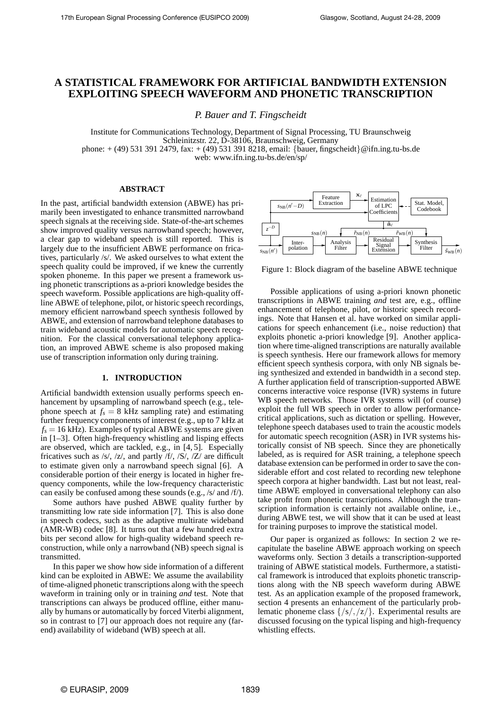# **A STATISTICAL FRAMEWORK FOR ARTIFICIAL BANDWIDTH EXTENSION EXPLOITING SPEECH WAVEFORM AND PHONETIC TRANSCRIPTION**

*P. Bauer and T. Fingscheidt*

Institute for Communications Technology, Department of Signal Processing, TU Braunschweig Schleinitzstr. 22, D-38106, Braunschweig, Germany phone: + (49) 531 391 2479, fax: + (49) 531 391 8218, email: {bauer, fingscheidt}@ifn.ing.tu-bs.de web: www.ifn.ing.tu-bs.de/en/sp/

## **ABSTRACT**

In the past, artificial bandwidth extension (ABWE) has primarily been investigated to enhance transmitted narrowband speech signals at the receiving side. State-of-the-art schemes show improved quality versus narrowband speech; however, a clear gap to wideband speech is still reported. This is largely due to the insufficient ABWE performance on fricatives, particularly /s/. We asked ourselves to what extent the speech quality could be improved, if we knew the currently spoken phoneme. In this paper we present a framework using phonetic transcriptions as a-priori knowledge besides the speech waveform. Possible applications are high-quality offline ABWE of telephone, pilot, or historic speech recordings, memory efficient narrowband speech synthesis followed by ABWE, and extension of narrowband telephone databases to train wideband acoustic models for automatic speech recognition. For the classical conversational telephony application, an improved ABWE scheme is also proposed making use of transcription information only during training.

#### **1. INTRODUCTION**

Artificial bandwidth extension usually performs speech enhancement by upsampling of narrowband speech (e.g., telephone speech at  $f_s = 8$  kHz sampling rate) and estimating further frequency components of interest (e.g., up to 7 kHz at  $f_s = 16$  kHz). Examples of typical ABWE systems are given in [1–3]. Often high-frequency whistling and lisping effects are observed, which are tackled, e.g., in [4, 5]. Especially fricatives such as /s/, /z/, and partly /f/, /S/, /Z/ are difficult to estimate given only a narrowband speech signal [6]. A considerable portion of their energy is located in higher frequency components, while the low-frequency characteristic can easily be confused among these sounds (e.g., /s/ and /f/).

Some authors have pushed ABWE quality further by transmitting low rate side information [7]. This is also done in speech codecs, such as the adaptive multirate wideband (AMR-WB) codec [8]. It turns out that a few hundred extra bits per second allow for high-quality wideband speech reconstruction, while only a narrowband (NB) speech signal is transmitted.

In this paper we show how side information of a different kind can be exploited in ABWE: We assume the availability of time-aligned phonetic transcriptions along with the speech waveform in training only or in training *and* test. Note that transcriptions can always be produced offline, either manually by humans or automatically by forced Viterbi alignment, so in contrast to [7] our approach does not require any (farend) availability of wideband (WB) speech at all.



Figure 1: Block diagram of the baseline ABWE technique

Possible applications of using a-priori known phonetic transcriptions in ABWE training *and* test are, e.g., offline enhancement of telephone, pilot, or historic speech recordings. Note that Hansen et al. have worked on similar applications for speech enhancement (i.e., noise reduction) that exploits phonetic a-priori knowledge [9]. Another application where time-aligned transcriptions are naturally available is speech synthesis. Here our framework allows for memory efficient speech synthesis corpora, with only NB signals being synthesized and extended in bandwidth in a second step. A further application field of transcription-supported ABWE concerns interactive voice response (IVR) systems in future WB speech networks. Those IVR systems will (of course) exploit the full WB speech in order to allow performancecritical applications, such as dictation or spelling. However, telephone speech databases used to train the acoustic models for automatic speech recognition (ASR) in IVR systems historically consist of NB speech. Since they are phonetically labeled, as is required for ASR training, a telephone speech database extension can be performed in order to save the considerable effort and cost related to recording new telephone speech corpora at higher bandwidth. Last but not least, realtime ABWE employed in conversational telephony can also take profit from phonetic transcriptions. Although the transcription information is certainly not available online, i.e., during ABWE test, we will show that it can be used at least for training purposes to improve the statistical model.

Our paper is organized as follows: In section 2 we recapitulate the baseline ABWE approach working on speech waveforms only. Section 3 details a transcription-supported training of ABWE statistical models. Furthermore, a statistical framework is introduced that exploits phonetic transcriptions along with the NB speech waveform during ABWE test. As an application example of the proposed framework, section 4 presents an enhancement of the particularly problematic phoneme class  $\{ /s/ /z/ \}$ . Experimental results are discussed focusing on the typical lisping and high-frequency whistling effects.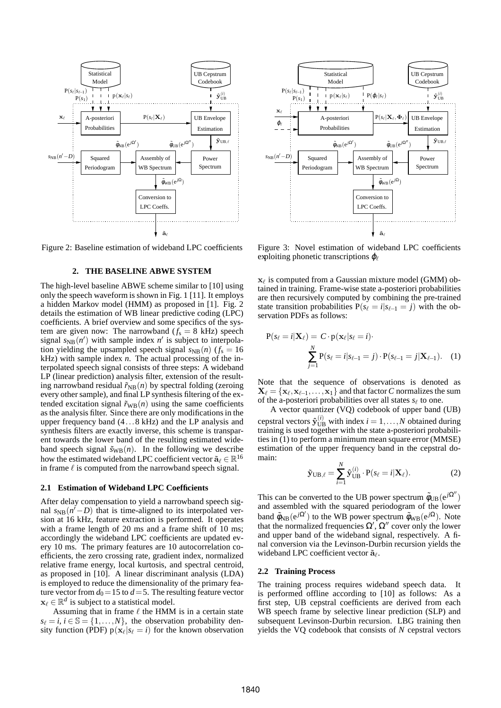

Figure 2: Baseline estimation of wideband LPC coefficients

## **2. THE BASELINE ABWE SYSTEM**

The high-level baseline ABWE scheme similar to [10] using only the speech waveform is shown in Fig. 1 [11]. It employs a hidden Markov model (HMM) as proposed in [1]. Fig. 2 details the estimation of WB linear predictive coding (LPC) coefficients. A brief overview and some specifics of the system are given now: The narrowband  $(f_s = 8 \text{ kHz})$  speech signal  $s_{NB}(n')$  with sample index  $n'$  is subject to interpolation yielding the upsampled speech signal  $s_{NB}(n)$  ( $f_s = 16$ ) kHz) with sample index *n*. The actual processing of the interpolated speech signal consists of three steps: A wideband LP (linear prediction) analysis filter, extension of the resulting narrowband residual  $\tilde{r}_{NB}(n)$  by spectral folding (zeroing every other sample), and final LP synthesis filtering of the extended excitation signal  $\tilde{r}_{WB}(n)$  using the same coefficients as the analysis filter. Since there are only modifications in the upper frequency band (4...8 kHz) and the LP analysis and synthesis filters are exactly inverse, this scheme is transparent towards the lower band of the resulting estimated wideband speech signal  $\tilde{s}_{WB}(n)$ . In the following we describe how the estimated wideband LPC coefficient vector  $\tilde{\mathbf{a}}_{\ell} \in \mathbb{R}^{16}$ in frame  $\ell$  is computed from the narrowband speech signal.

#### **2.1 Estimation of Wideband LPC Coefficients**

After delay compensation to yield a narrowband speech signal  $s_{NB}(n'-D)$  that is time-aligned to its interpolated version at 16 kHz, feature extraction is performed. It operates with a frame length of 20 ms and a frame shift of 10 ms; accordingly the wideband LPC coefficients are updated every 10 ms. The primary features are 10 autocorrelation coefficients, the zero crossing rate, gradient index, normalized relative frame energy, local kurtosis, and spectral centroid, as proposed in [10]. A linear discriminant analysis (LDA) is employed to reduce the dimensionality of the primary feature vector from  $d_0 = 15$  to  $d = 5$ . The resulting feature vector  $\mathbf{x}_{\ell} \in \mathbb{R}^d$  is subject to a statistical model.

Assuming that in frame  $\ell$  the HMM is in a certain state  $s_{\ell} = i, i \in \mathbb{S} = \{1, \ldots, N\}$ , the observation probability density function (PDF)  $p(x_\ell | s_\ell = i)$  for the known observation



Figure 3: Novel estimation of wideband LPC coefficients exploiting phonetic transcriptions  $\varphi$ 

 $\mathbf{x}_{\ell}$  is computed from a Gaussian mixture model (GMM) obtained in training. Frame-wise state a-posteriori probabilities are then recursively computed by combining the pre-trained state transition probabilities  $P(s_\ell = i | s_{\ell-1} = j)$  with the observation PDFs as follows:

$$
P(s_{\ell} = i | \mathbf{X}_{\ell}) = C \cdot p(\mathbf{x}_{\ell} | s_{\ell} = i)
$$

$$
\sum_{j=1}^{N} P(s_{\ell} = i | s_{\ell-1} = j) \cdot P(s_{\ell-1} = j | \mathbf{X}_{\ell-1}). \quad (1)
$$

Note that the sequence of observations is denoted as  $\mathbf{X}_\ell = \{\mathbf{x}_\ell, \mathbf{x}_{\ell-1}, \ldots, \mathbf{x}_1\}$  and that factor  $C$  normalizes the sum of the a-posteriori probabilities over all states  $s_{\ell}$  to one.

A vector quantizer (VQ) codebook of upper band (UB) cepstral vectors  $\hat{\mathbf{y}}_{\text{UB}}^{(i)}$  with index  $i = 1, ..., N$  obtained during training is used together with the state a-posteriori probabilities in (1) to perform a minimum mean square error (MMSE) estimation of the upper frequency band in the cepstral domain:

$$
\tilde{\mathbf{y}}_{\mathrm{UB},\ell} = \sum_{i=1}^{N} \hat{\mathbf{y}}_{\mathrm{UB}}^{(i)} \cdot \mathbf{P}(s_{\ell} = i | \mathbf{X}_{\ell}). \tag{2}
$$

This can be converted to the UB power spectrum  $\tilde{\phi}_{UB}(e^{j\Omega''})$ and assembled with the squared periodogram of the lower band  $\tilde{\phi}_{NB}(e^{j\Omega'})$  to the WB power spectrum  $\tilde{\phi}_{WB}(e^{j\Omega})$ . Note that the normalized frequencies  $\Omega', \Omega''$  cover only the lower and upper band of the wideband signal, respectively. A final conversion via the Levinson-Durbin recursion yields the wideband LPC coefficient vector  $\tilde{\mathbf{a}}_{\ell}$ .

#### **2.2 Training Process**

The training process requires wideband speech data. It is performed offline according to [10] as follows: As a first step, UB cepstral coefficients are derived from each WB speech frame by selective linear prediction (SLP) and subsequent Levinson-Durbin recursion. LBG training then yields the VQ codebook that consists of *N* cepstral vectors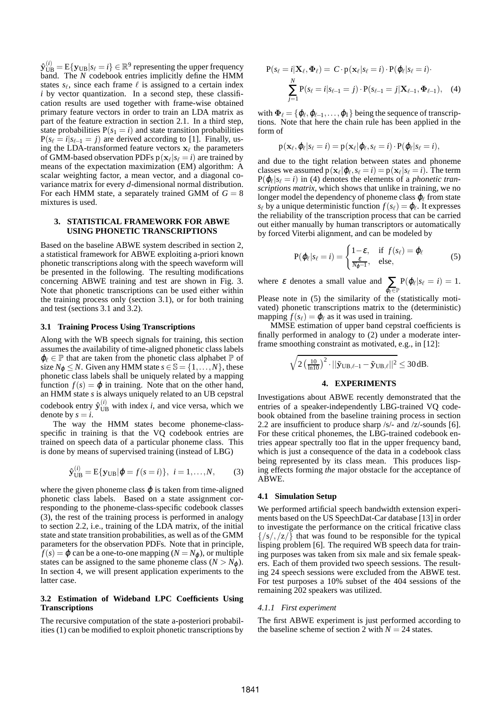$\mathbf{\hat{y}}_\mathrm{UB}^{(i)} = \mathrm{E}\{\mathbf{y}_\mathrm{UB}|s_\ell = i\} \in \mathbb{R}^9$  representing the upper frequency band. The *N* codebook entries implicitly define the HMM states  $s_{\ell}$ , since each frame  $\ell$  is assigned to a certain index *i* by vector quantization. In a second step, these classification results are used together with frame-wise obtained primary feature vectors in order to train an LDA matrix as part of the feature extraction in section 2.1. In a third step, state probabilities  $P(s_1 = i)$  and state transition probabilities  $P(s_{\ell} = i | s_{\ell-1} = j)$  are derived according to [1]. Finally, using the LDA-transformed feature vectors  $x_\ell$  the parameters of GMM-based observation PDFs  $p(\mathbf{x}_{\ell} | s_{\ell} = i)$  are trained by means of the expectation maximization (EM) algorithm: A scalar weighting factor, a mean vector, and a diagonal covariance matrix for every *d*-dimensional normal distribution. For each HMM state, a separately trained GMM of  $G = 8$ mixtures is used.

## **3. STATISTICAL FRAMEWORK FOR ABWE USING PHONETIC TRANSCRIPTIONS**

Based on the baseline ABWE system described in section 2, a statistical framework for ABWE exploiting a-priori known phonetic transcriptions along with the speech waveform will be presented in the following. The resulting modifications concerning ABWE training and test are shown in Fig. 3. Note that phonetic transcriptions can be used either within the training process only (section 3.1), or for both training and test (sections 3.1 and 3.2).

## **3.1 Training Process Using Transcriptions**

Along with the WB speech signals for training, this section assumes the availability of time-aligned phonetic class labels  $\varphi_{\ell} \in \mathbb{P}$  that are taken from the phonetic class alphabet  $\mathbb{P}$  of size  $N_{\phi} \leq N$ . Given any HMM state  $s \in \mathbb{S} = \{1, \ldots, N\}$ , these phonetic class labels shall be uniquely related by a mapping function  $f(s) = \varphi$  in training. Note that on the other hand, an HMM state *s* is always uniquely related to an UB cepstral codebook entry  $\hat{\mathbf{y}}_{\text{UB}}^{(i)}$  with index *i*, and vice versa, which we denote by  $s = i$ .

The way the HMM states become phoneme-classspecific in training is that the VQ codebook entries are trained on speech data of a particular phoneme class. This is done by means of supervised training (instead of LBG)

$$
\hat{\mathbf{y}}_{\text{UB}}^{(i)} = \text{E}\{\mathbf{y}_{\text{UB}}|\varphi = f(s=i)\}, \ \ i = 1, ..., N,
$$
 (3)

where the given phoneme class  $\varphi$  is taken from time-aligned phonetic class labels. Based on a state assignment corresponding to the phoneme-class-specific codebook classes (3), the rest of the training process is performed in analogy to section 2.2, i.e., training of the LDA matrix, of the initial state and state transition probabilities, as well as of the GMM parameters for the observation PDFs. Note that in principle,  $f(s) = \varphi$  can be a one-to-one mapping  $(N = N_{\varphi})$ , or multiple states can be assigned to the same phoneme class ( $N > N_{\varphi}$ ). In section 4, we will present application experiments to the latter case.

#### **3.2 Estimation of Wideband LPC Coefficients Using Transcriptions**

The recursive computation of the state a-posteriori probabilities (1) can be modified to exploit phonetic transcriptions by

$$
P(s_{\ell} = i | \mathbf{X}_{\ell}, \mathbf{\Phi}_{\ell}) = C \cdot p(\mathbf{x}_{\ell} | s_{\ell} = i) \cdot P(\boldsymbol{\varphi}_{\ell} | s_{\ell} = i) \cdot \sum_{j=1}^{N} P(s_{\ell} = i | s_{\ell-1} = j) \cdot P(s_{\ell-1} = j | \mathbf{X}_{\ell-1}, \mathbf{\Phi}_{\ell-1}), \quad (4)
$$

with  $\mathbf{\Phi}_{\ell} = {\phi_{\ell}, \phi_{\ell-1}, \dots, \phi_1}$  being the sequence of transcriptions. Note that here the chain rule has been applied in the form of

$$
p(\mathbf{x}_{\ell}, \boldsymbol{\varphi}_{\ell} | s_{\ell} = i) = p(\mathbf{x}_{\ell} | \boldsymbol{\varphi}_{\ell}, s_{\ell} = i) \cdot P(\boldsymbol{\varphi}_{\ell} | s_{\ell} = i),
$$

and due to the tight relation between states and phoneme classes we assumed  $p(\mathbf{x}_{\ell}|\boldsymbol{\varphi}_{\ell}, s_{\ell} = i) = p(\mathbf{x}_{\ell}|s_{\ell} = i)$ . The term  $P(\varphi_{\ell}|s_{\ell} = i)$  in (4) denotes the elements of a *phonetic transcriptions matrix*, which shows that unlike in training, we no longer model the dependency of phoneme class  $\pmb{\varphi}_\ell$  from state  $s_{\ell}$  by a unique deterministic function  $f(s_{\ell}) = \varphi_{\ell}$ . It expresses the reliability of the transcription process that can be carried out either manually by human transcriptors or automatically by forced Viterbi alignment, and can be modeled by

$$
P(\varphi_{\ell}|s_{\ell}=i) = \begin{cases} 1-\varepsilon, & \text{if } f(s_{\ell}) = \varphi_{\ell} \\ \frac{\varepsilon}{N\varphi-1}, & \text{else,} \end{cases}
$$
(5)

where  $\varepsilon$  denotes a small value and  $\sum_{\varphi_{\ell} \in \mathbb{P}}$  $P(\varphi_\ell|s_\ell=i)=1.$ Please note in  $(5)$  the similarity of the (statistically moti-

vated) phonetic transcriptions matrix to the (deterministic) mapping  $f(s_\ell) = \varphi_\ell$  as it was used in training.

MMSE estimation of upper band cepstral coefficients is finally performed in analogy to (2) under a moderate interframe smoothing constraint as motivated, e.g., in [12]:

$$
\sqrt{2\left(\tfrac{10}{\ln 10}\right)^2} \cdot ||\mathbf{\tilde{y}}_{\text{UB},\ell-1} - \mathbf{\tilde{y}}_{\text{UB},\ell}||^2 \leq 30\,\text{dB}.
$$

## **4. EXPERIMENTS**

Investigations about ABWE recently demonstrated that the entries of a speaker-independently LBG-trained VQ codebook obtained from the baseline training process in section 2.2 are insufficient to produce sharp /s/- and /z/-sounds [6]. For these critical phonemes, the LBG-trained codebook entries appear spectrally too flat in the upper frequency band, which is just a consequence of the data in a codebook class being represented by its class mean. This produces lisping effects forming *the* major obstacle for the acceptance of ABWE.

#### **4.1 Simulation Setup**

We performed artificial speech bandwidth extension experiments based on the US SpeechDat-Car database [13] in order to investigate the performance on the critical fricative class  $\{ \sqrt{s}/\sqrt{z} \}$  that was found to be responsible for the typical lisping problem [6]. The required WB speech data for training purposes was taken from six male and six female speakers. Each of them provided two speech sessions. The resulting 24 speech sessions were excluded from the ABWE test. For test purposes a 10% subset of the 404 sessions of the remaining 202 speakers was utilized.

## *4.1.1 First experiment*

The first ABWE experiment is just performed according to the baseline scheme of section 2 with  $N = 24$  states.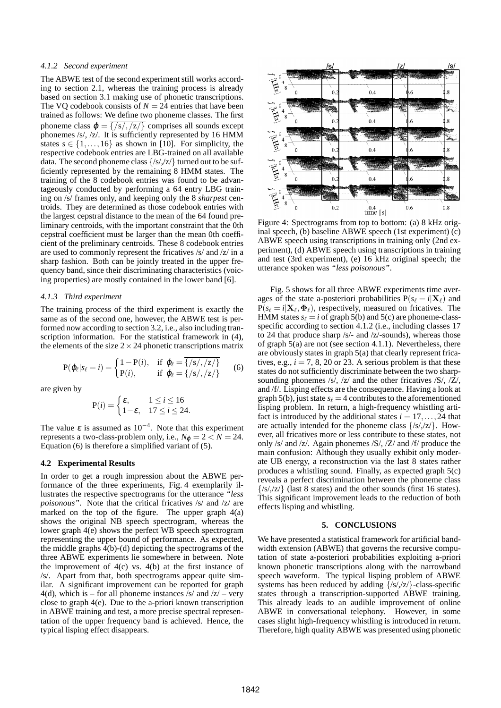# *4.1.2 Second experiment*

The ABWE test of the second experiment still works according to section 2.1, whereas the training process is already based on section 3.1 making use of phonetic transcriptions. The VQ codebook consists of  $N = 24$  entries that have been trained as follows: We define two phoneme classes. The first phoneme class  $\varphi = \sqrt{\frac{s}{\sqrt{z}}/2}$  comprises all sounds except phonemes /s/, /z/. It is sufficiently represented by 16 HMM states  $s \in \{1, ..., 16\}$  as shown in [10]. For simplicity, the respective codebook entries are LBG-trained on all available data. The second phoneme class  $\{ \frac{\mathcal{S}}{\mathcal{S}} \mid \mathcal{S} \neq \mathcal{S} \}$  turned out to be sufficiently represented by the remaining 8 HMM states. The training of the 8 codebook entries was found to be advantageously conducted by performing a 64 entry LBG training on /s/ frames only, and keeping only the 8 *sharpest* centroids. They are determined as those codebook entries with the largest cepstral distance to the mean of the 64 found preliminary centroids, with the important constraint that the 0th cepstral coefficient must be larger than the mean 0th coefficient of the preliminary centroids. These 8 codebook entries are used to commonly represent the fricatives /s/ and /z/ in a sharp fashion. Both can be jointly treated in the upper frequency band, since their discriminating characteristics (voicing properties) are mostly contained in the lower band [6].

#### *4.1.3 Third experiment*

The training process of the third experiment is exactly the same as of the second one, however, the ABWE test is performed now according to section 3.2, i.e., also including transcription information. For the statistical framework in (4), the elements of the size  $2 \times 24$  phonetic transcriptions matrix

$$
P(\varphi_{\ell}|s_{\ell}=i) = \begin{cases} 1-P(i), & \text{if } \varphi_{\ell} = \overline{\{\mathcal{S}/\mathcal{S}/z\}} \\ P(i), & \text{if } \varphi_{\ell} = \{\mathcal{S}/\mathcal{S}/z\} \end{cases} \tag{6}
$$

are given by

$$
P(i) = \begin{cases} \varepsilon, & 1 \le i \le 16 \\ 1 - \varepsilon, & 17 \le i \le 24. \end{cases}
$$

The value  $\varepsilon$  is assumed as 10<sup>-4</sup>. Note that this experiment represents a two-class-problem only, i.e.,  $N_{\phi} = 2 < N = 24$ . Equation (6) is therefore a simplified variant of (5).

## **4.2 Experimental Results**

In order to get a rough impression about the ABWE performance of the three experiments, Fig. 4 exemplarily illustrates the respective spectrograms for the utterance *"less poisonous"*. Note that the critical fricatives /s/ and /z/ are marked on the top of the figure. The upper graph  $4(a)$ shows the original NB speech spectrogram, whereas the lower graph 4(e) shows the perfect WB speech spectrogram representing the upper bound of performance. As expected, the middle graphs  $4(b)$ -(d) depicting the spectrograms of the three ABWE experiments lie somewhere in between. Note the improvement of  $4(c)$  vs.  $4(b)$  at the first instance of /s/. Apart from that, both spectrograms appear quite similar. A significant improvement can be reported for graph 4(d), which is – for all phoneme instances  $\frac{s}{a}$  and  $\frac{z}{-}$  very close to graph 4(e). Due to the a-priori known transcription in ABWE training and test, a more precise spectral representation of the upper frequency band is achieved. Hence, the typical lisping effect disappears.



Figure 4: Spectrograms from top to bottom: (a) 8 kHz original speech, (b) baseline ABWE speech (1st experiment) (c) ABWE speech using transcriptions in training only (2nd experiment), (d) ABWE speech using transcriptions in training and test (3rd experiment), (e) 16 kHz original speech; the utterance spoken was *"less poisonous"*.

Fig. 5 shows for all three ABWE experiments time averages of the state a-posteriori probabilities  $P(s_\ell = i | \mathbf{X}_\ell)$  and  $P(s_{\ell} = i | \mathbf{X}_{\ell}, \mathbf{\Phi}_{\ell})$ , respectively, measured on fricatives. The HMM states  $s_\ell = i$  of graph 5(b) and 5(c) are phoneme-classspecific according to section 4.1.2 (i.e., including classes 17 to 24 that produce sharp /s/- and /z/-sounds), whereas those of graph  $\overline{5(a)}$  are not (see section 4.1.1). Nevertheless, there are obviously states in graph 5(a) that clearly represent fricatives, e.g.,  $i = 7, 8, 20$  or 23. A serious problem is that these states do not sufficiently discriminate between the two sharpsounding phonemes /s/, /z/ and the other fricatives /S/, /Z/, and /f/. Lisping effects are the consequence. Having a look at graph 5(b), just state  $s_\ell = 4$  contributes to the aforementioned lisping problem. In return, a high-frequency whistling artifact is introduced by the additional states  $i = 17, \ldots, 24$  that are actually intended for the phoneme class  $\{ \frac{\langle s \rangle}{\langle z \rangle} \}$ . However, all fricatives more or less contribute to these states, not only /s/ and /z/. Again phonemes /S/, /Z/ and /f/ produce the main confusion: Although they usually exhibit only moderate UB energy, a reconstruction via the last 8 states rather produces a whistling sound. Finally, as expected graph 5(c) reveals a perfect discrimination between the phoneme class  $\{$ /s $/$ ,/z $/$ } (last 8 states) and the other sounds (first 16 states). This significant improvement leads to the reduction of both effects lisping and whistling.

## **5. CONCLUSIONS**

We have presented a statistical framework for artificial bandwidth extension (ABWE) that governs the recursive computation of state a-posteriori probabilities exploiting a-priori known phonetic transcriptions along with the narrowband speech waveform. The typical lisping problem of ABWE systems has been reduced by adding  $\{$ /s/,/z/ $\}$ -class-specific states through a transcription-supported ABWE training. This already leads to an audible improvement of online ABWE in conversational telephony. However, in some cases slight high-frequency whistling is introduced in return. Therefore, high quality ABWE was presented using phonetic